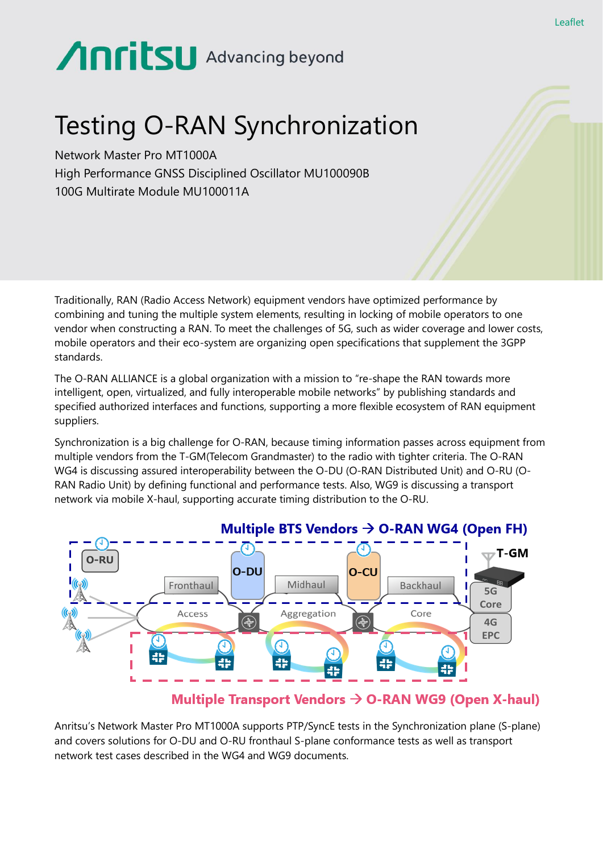# **AnritsU** Advancing beyond

# Testing O-RAN Synchronization

Network Master Pro MT1000A High Performance GNSS Disciplined Oscillator MU100090B 100G Multirate Module MU100011A

Traditionally, RAN (Radio Access Network) equipment vendors have optimized performance by combining and tuning the multiple system elements, resulting in locking of mobile operators to one vendor when constructing a RAN. To meet the challenges of 5G, such as wider coverage and lower costs, mobile operators and their eco-system are organizing open specifications that supplement the 3GPP standards.

The O-RAN ALLIANCE is a global organization with a mission to "re-shape the RAN towards more intelligent, open, virtualized, and fully interoperable mobile networks" by publishing standards and specified authorized interfaces and functions, supporting a more flexible ecosystem of RAN equipment suppliers.

Synchronization is a big challenge for O-RAN, because timing information passes across equipment from multiple vendors from the T-GM(Telecom Grandmaster) to the radio with tighter criteria. The O-RAN WG4 is discussing assured interoperability between the O-DU (O-RAN Distributed Unit) and O-RU (O-RAN Radio Unit) by defining functional and performance tests. Also, WG9 is discussing a transport network via mobile X-haul, supporting accurate timing distribution to the O-RU.



#### Multiple Transport Vendors  $\rightarrow$  O-RAN WG9 (Open X-haul)

Anritsu's Network Master Pro MT1000A supports PTP/SyncE tests in the Synchronization plane (S-plane) and covers solutions for O-DU and O-RU fronthaul S-plane conformance tests as well as transport network test cases described in the WG4 and WG9 documents.